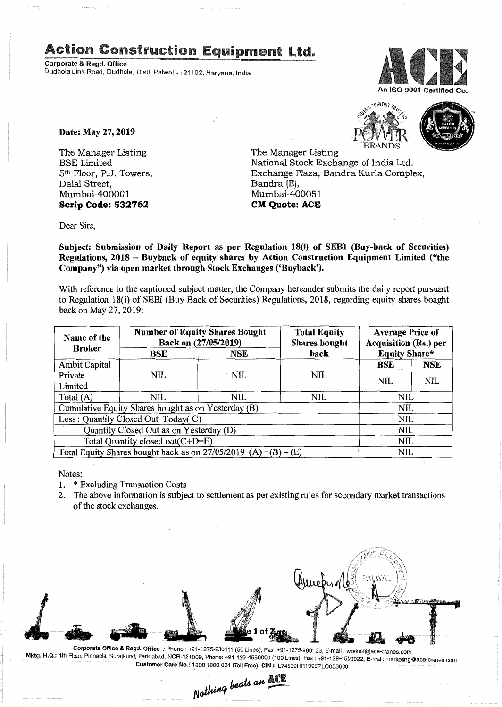## Action Construction Equipment Ltd..

Corporate & Regd. Office Dudhola Link Road, Dudhola, Dlstt, Palwal- 121102, Haryana, India



'BRANDS

Date: May 27, 2019

The Manager Listing BSE Limited 5th Floor, P.J. Towers, Dalal Street, Mumbai-400001 Scrip Code: 532762

The Manager Listing National Stock Exchange of India Ltd. Exchange Plaza, Bandra Kurla Complex, Bandra (E), Mumbai-400051 CM Quote: ACE

Dear Sirs,

Subject: Submission of Daily Report as per Regulation 18(i) of SEBI (Buy-back of Securities) Regulations, 2018 - Buyback of equity shares by Action Construction Equipment Limited ("the Company") via open market through Stock Exchanges ('Buyback').

With reference to the captioned subject matter, the Company hereunder submits the daily report pursuant to Regulation 18(i) of SEBI (Buy Back of Securities) Regulations, 2018, regarding equity shares bought back on May 27,2019:

| Name of the<br><b>Broker</b>                                      | <b>Number of Equity Shares Bought</b><br>Back on (27/05/2019) |     | <b>Total Equity</b><br><b>Shares bought</b> | <b>Average Price of</b><br><b>Acquisition (Rs.) per</b> |            |  |
|-------------------------------------------------------------------|---------------------------------------------------------------|-----|---------------------------------------------|---------------------------------------------------------|------------|--|
|                                                                   | BSE                                                           | NSE | back                                        | <b>Equity Share*</b>                                    |            |  |
| Ambit Capital                                                     |                                                               |     |                                             | <b>BSE</b>                                              | <b>NSE</b> |  |
| Private                                                           | NIL                                                           | NIL | <b>NIL</b>                                  | <b>NIL</b>                                              | <b>NIL</b> |  |
| Limited                                                           |                                                               |     |                                             |                                                         |            |  |
| Total $(A)$                                                       | NIL                                                           | NIL | <b>NIL</b>                                  | NIL                                                     |            |  |
| Cumulative Equity Shares bought as on Yesterday (B)               |                                                               |     |                                             |                                                         | NIL        |  |
| Less: Quantity Closed Out Today(C)                                |                                                               |     |                                             | NIL                                                     |            |  |
| Quantity Closed Out as on Yesterday (D)                           |                                                               |     |                                             | NIL                                                     |            |  |
| Total Quantity closed out(C+D=E)                                  |                                                               |     |                                             |                                                         | NIL        |  |
| Total Equity Shares bought back as on $27/05/2019$ (A) +(B) – (E) |                                                               |     |                                             | NIL                                                     |            |  |

Notes:

- 1. \* Excluding Transaction Costs
- 2. The above information is subject to settlement as per existing rules for secondary market transactions of the stock exchanges.



Corporate Office & Regd. Office: Phone: +91-1275-280111 (50 Lines), Fax:+91-1275-280133, E-mail: works2@ace-cranes.com ktg. H.Q.: 4th Floor, Pinnacle, Surajkund, Faridabad, NCR-121009, Phone: +91-129-4550000 (100 Lines), Fax : +91-129-4550022. E-mail: marketing@ace-cranes.com Customer Care No.: 1800 1800 004 (Toll Free), CIN: L74899HR1995PLC053860

Nothing beats an ACE